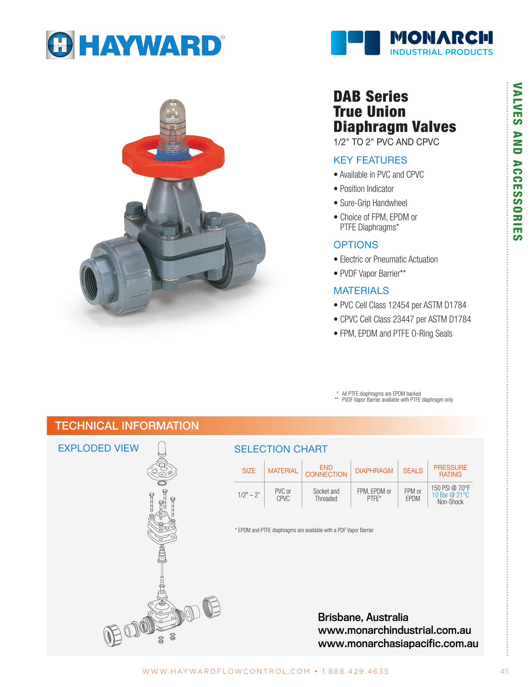





# DAB Series True Union Diaphragm Valves

1/2" TO 2" PVC AND CPVC

## KEY FEATURES

- Available in PVC and CPVC
- Position Indicator
- Sure-Grip Handwheel
- Choice of FPM, EPDM or PTFE Diaphragms\*

### **OPTIONS**

- Electric or Pneumatic Actuation
- PVDF Vapor Barrier\*\*

## MATERIALS

- PVC Cell Class 12454 per ASTM D1784
- CPVC Cell Class 23447 per ASTM D1784
- FPM, EPDM and PTFE O-Ring Seals

All PTFE diaphragms are EPDM backed

\*\* PVDF Vapor Barrier available with PTFE diaphragm only

# TECHNICAL INFORMATION